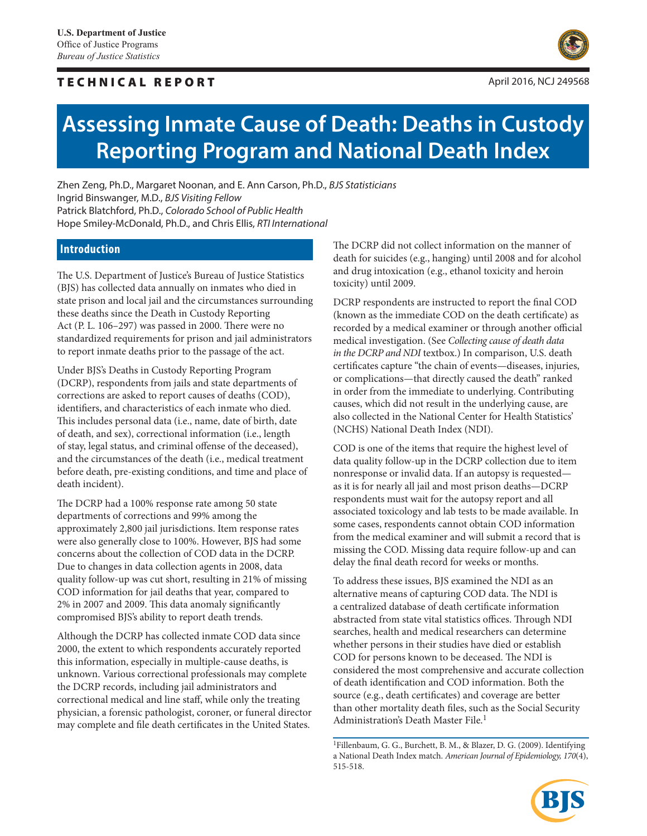# TECHNICAL REPORT And the state of the state of the state of the state of the state of the state of the state of the state of the state of the state of the state of the state of the state of the state of the state of the st



# **Assessing Inmate Cause of Death: Deaths in Custody Reporting Program and National Death Index**

Zhen Zeng, Ph.D., Margaret Noonan, and E. Ann Carson, Ph.D., *BJS Statisticians*  Ingrid Binswanger, M.D., *BJS Visiting Fellow* Patrick Blatchford, Ph.D., *Colorado School of Public Health* Hope Smiley-McDonald, Ph.D., and Chris Ellis, *RTI International*

# **Introduction**

The U.S. Department of Justice's Bureau of Justice Statistics (BJS) has collected data annually on inmates who died in state prison and local jail and the circumstances surrounding these deaths since the Death in Custody Reporting Act (P. L. 106–297) was passed in 2000. There were no standardized requirements for prison and jail administrators to report inmate deaths prior to the passage of the act.

Under BJS's Deaths in Custody Reporting Program (DCRP), respondents from jails and state departments of corrections are asked to report causes of deaths (COD), identifiers, and characteristics of each inmate who died. This includes personal data (i.e., name, date of birth, date of death, and sex), correctional information (i.e., length of stay, legal status, and criminal offense of the deceased), and the circumstances of the death (i.e., medical treatment before death, pre-existing conditions, and time and place of death incident).

The DCRP had a 100% response rate among 50 state departments of corrections and 99% among the approximately 2,800 jail jurisdictions. Item response rates were also generally close to 100%. However, BJS had some concerns about the collection of COD data in the DCRP. Due to changes in data collection agents in 2008, data quality follow-up was cut short, resulting in 21% of missing COD information for jail deaths that year, compared to 2% in 2007 and 2009. This data anomaly significantly compromised BJS's ability to report death trends.

Although the DCRP has collected inmate COD data since 2000, the extent to which respondents accurately reported this information, especially in multiple-cause deaths, is unknown. Various correctional professionals may complete the DCRP records, including jail administrators and correctional medical and line staff, while only the treating physician, a forensic pathologist, coroner, or funeral director may complete and file death certificates in the United States.

The DCRP did not collect information on the manner of death for suicides (e.g., hanging) until 2008 and for alcohol and drug intoxication (e.g., ethanol toxicity and heroin toxicity) until 2009.

DCRP respondents are instructed to report the final COD (known as the immediate COD on the death certificate) as recorded by a medical examiner or through another official medical investigation. (See *Collecting cause of death data in the DCRP and NDI* textbox.) In comparison, U.S. death certificates capture "the chain of events—diseases, injuries, or complications—that directly caused the death" ranked in order from the immediate to underlying. Contributing causes, which did not result in the underlying cause, are also collected in the National Center for Health Statistics' (NCHS) National Death Index (NDI).

COD is one of the items that require the highest level of data quality follow-up in the DCRP collection due to item nonresponse or invalid data. If an autopsy is requested as it is for nearly all jail and most prison deaths—DCRP respondents must wait for the autopsy report and all associated toxicology and lab tests to be made available. In some cases, respondents cannot obtain COD information from the medical examiner and will submit a record that is missing the COD. Missing data require follow-up and can delay the final death record for weeks or months.

To address these issues, BJS examined the NDI as an alternative means of capturing COD data. The NDI is a centralized database of death certificate information abstracted from state vital statistics offices. Through NDI searches, health and medical researchers can determine whether persons in their studies have died or establish COD for persons known to be deceased. The NDI is considered the most comprehensive and accurate collection of death identification and COD information. Both the source (e.g., death certificates) and coverage are better than other mortality death files, such as the Social Security Administration's Death Master File.<sup>1</sup>

<sup>&</sup>lt;sup>1</sup>Fillenbaum, G. G., Burchett, B. M., & Blazer, D. G. (2009). Identifying a National Death Index match. *American Journal of Epidemiology, 170*(4), 515-518.

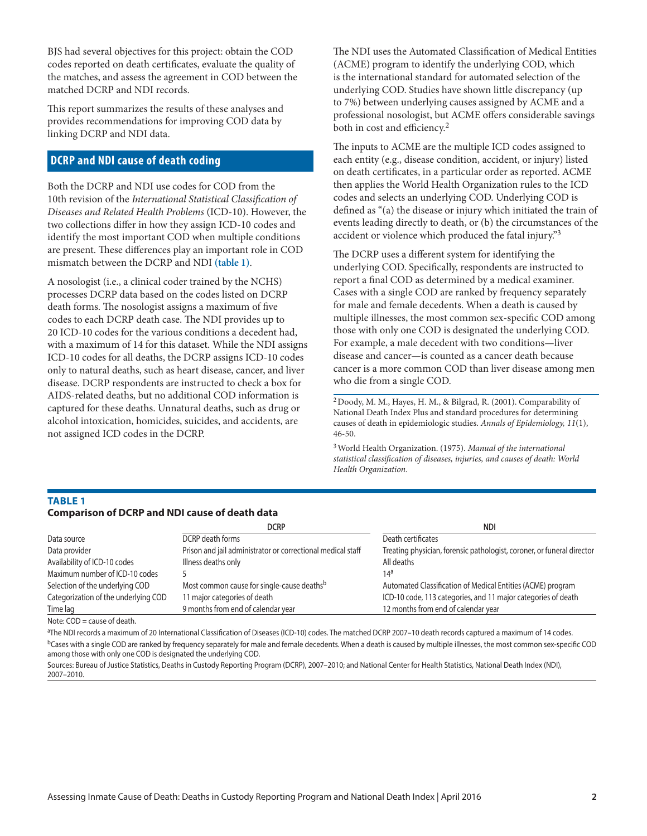BJS had several objectives for this project: obtain the COD codes reported on death certificates, evaluate the quality of the matches, and assess the agreement in COD between the matched DCRP and NDI records.

This report summarizes the results of these analyses and provides recommendations for improving COD data by linking DCRP and NDI data.

# **DCRP and NDI cause of death coding**

Both the DCRP and NDI use codes for COD from the 10th revision of the *International Statistical Classification of Diseases and Related Health Problems* (ICD-10). However, the two collections differ in how they assign ICD-10 codes and identify the most important COD when multiple conditions are present. These differences play an important role in COD mismatch between the DCRP and NDI **(table 1)**.

A nosologist (i.e., a clinical coder trained by the NCHS) processes DCRP data based on the codes listed on DCRP death forms. The nosologist assigns a maximum of five codes to each DCRP death case. The NDI provides up to 20 ICD-10 codes for the various conditions a decedent had, with a maximum of 14 for this dataset. While the NDI assigns ICD-10 codes for all deaths, the DCRP assigns ICD-10 codes only to natural deaths, such as heart disease, cancer, and liver disease. DCRP respondents are instructed to check a box for AIDS-related deaths, but no additional COD information is captured for these deaths. Unnatural deaths, such as drug or alcohol intoxication, homicides, suicides, and accidents, are not assigned ICD codes in the DCRP.

The NDI uses the Automated Classification of Medical Entities (ACME) program to identify the underlying COD, which is the international standard for automated selection of the underlying COD. Studies have shown little discrepancy (up to 7%) between underlying causes assigned by ACME and a professional nosologist, but ACME offers considerable savings both in cost and efficiency.<sup>2</sup>

The inputs to ACME are the multiple ICD codes assigned to each entity (e.g., disease condition, accident, or injury) listed on death certificates, in a particular order as reported. ACME then applies the World Health Organization rules to the ICD codes and selects an underlying COD. Underlying COD is defined as "(a) the disease or injury which initiated the train of events leading directly to death, or (b) the circumstances of the accident or violence which produced the fatal injury."3

The DCRP uses a different system for identifying the underlying COD. Specifically, respondents are instructed to report a final COD as determined by a medical examiner. Cases with a single COD are ranked by frequency separately for male and female decedents. When a death is caused by multiple illnesses, the most common sex-specific COD among those with only one COD is designated the underlying COD. For example, a male decedent with two conditions—liver disease and cancer—is counted as a cancer death because cancer is a more common COD than liver disease among men who die from a single COD.

2Doody, M. M., Hayes, H. M., & Bilgrad, R. (2001). Comparability of National Death Index Plus and standard procedures for determining causes of death in epidemiologic studies. *Annals of Epidemiology, 11*(1), 46-50.

3World Health Organization. (1975). *Manual of the international statistical classification of diseases, injuries, and causes of death: World Health Organization*.

# **TABLE 1 Comparison of DCRP and NDI cause of death data**

|                                      | <b>DCRP</b>                                                 | ndi                                                                    |
|--------------------------------------|-------------------------------------------------------------|------------------------------------------------------------------------|
| Data source                          | DCRP death forms                                            | Death certificates                                                     |
| Data provider                        | Prison and jail administrator or correctional medical staff | Treating physician, forensic pathologist, coroner, or funeral director |
| Availability of ICD-10 codes         | Illness deaths only                                         | All deaths                                                             |
| Maximum number of ICD-10 codes       |                                                             | 14 <sup>a</sup>                                                        |
| Selection of the underlying COD      | Most common cause for single-cause deaths <sup>b</sup>      | Automated Classification of Medical Entities (ACME) program            |
| Categorization of the underlying COD | 11 major categories of death                                | ICD-10 code, 113 categories, and 11 major categories of death          |
| Time lag                             | 9 months from end of calendar year                          | 12 months from end of calendar year                                    |

Note: COD = cause of death.

a The NDI records a maximum of 20 International Classification of Diseases (ICD-10) codes. The matched DCRP 2007–10 death records captured a maximum of 14 codes. <sup>b</sup>Cases with a single COD are ranked by frequency separately for male and female decedents. When a death is caused by multiple illnesses, the most common sex-specific COD among those with only one COD is designated the underlying COD.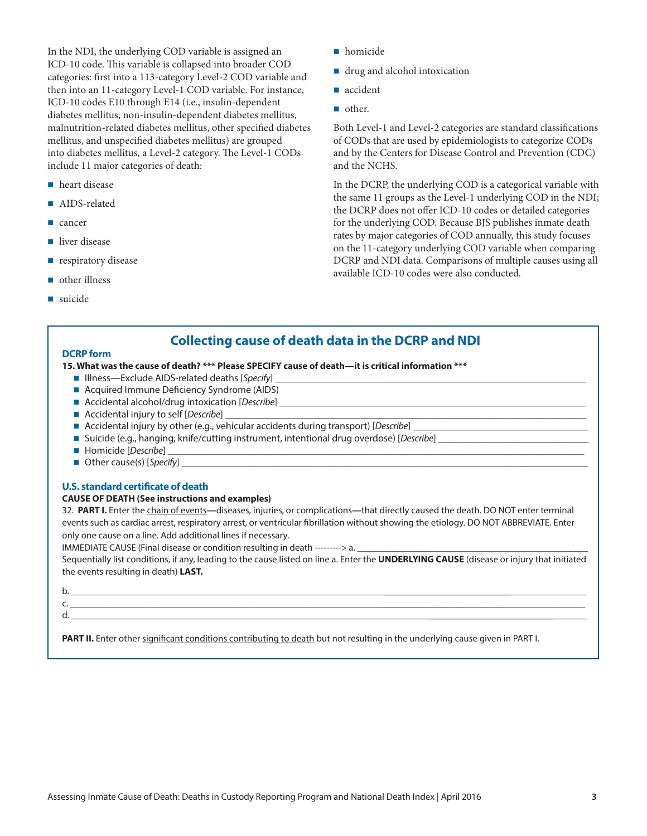In the NDI, the underlying COD variable is assigned an ICD-10 code. This variable is collapsed into broader COD categories: first into a 113-category Level-2 COD variable and then into an 11-category Level-1 COD variable. For instance, ICD-10 codes E10 through E14 (i.e., insulin-dependent diabetes mellitus, non-insulin-dependent diabetes mellitus, malnutrition-related diabetes mellitus, other specified diabetes mellitus, and unspecified diabetes mellitus) are grouped into diabetes mellitus, a Level-2 category. The Level-1 CODs include 11 major categories of death:

- heart disease
- AIDS-related
- cancer
- liver disease
- **respiratory disease**
- other illness
- suicide
- **homicide**
- drug and alcohol intoxication
- accident
- other.

Both Level-1 and Level-2 categories are standard classifications of CODs that are used by epidemiologists to categorize CODs and by the Centers for Disease Control and Prevention (CDC) and the NCHS.

In the DCRP, the underlying COD is a categorical variable with the same 11 groups as the Level-1 underlying COD in the NDI; the DCRP does not offer ICD-10 codes or detailed categories for the underlying COD. Because BJS publishes inmate death rates by major categories of COD annually, this study focuses on the 11-category underlying COD variable when comparing DCRP and NDI data. Comparisons of multiple causes using all available ICD-10 codes were also conducted.

# **Collecting cause of death data in the DCRP and NDI**

## **DCRP form**

## **15. What was the cause of death? \*\*\* Please SPECIFY cause of death—it is critical information \*\*\***

- Illness—Exclude AIDS-related deaths [Specify]
- Acquired Immune Deficiency Syndrome (AIDS)
- Accidental alcohol/drug intoxication [*Describe*]
- Accidental injury to self [*Describe*]
- Accidental injury by other (e.g., vehicular accidents during transport) [*Describe*]
- Suicide (e.g., hanging, knife/cutting instrument, intentional drug overdose) [*Describe*]
- Homicide [*Describe*]
- Other cause(s) [Specify]

## **U.S. standard certificate of death**

## **CAUSE OF DEATH (See instructions and examples)**

32. **PART I.** Enter the chain of events**—**diseases, injuries, or complications**—**that directly caused the death. DO NOT enter terminal events such as cardiac arrest, respiratory arrest, or ventricular fibrillation without showing the etiology. DO NOT ABBREVIATE. Enter only one cause on a line. Add additional lines if necessary.

IMMEDIATE CAUSE (Final disease or condition resulting in death ---------> a.

Sequentially list conditions, if any, leading to the cause listed on line a. Enter the **UNDERLYING CAUSE** (disease or injury that initiated the events resulting in death) **LAST.**

# b. \_\_\_\_\_\_\_\_\_\_\_\_\_\_\_\_\_\_\_\_\_\_\_\_\_\_\_\_\_\_\_\_\_\_\_\_\_\_\_\_\_\_\_\_\_\_\_\_\_\_\_\_\_\_\_\_\_\_\_\_\_\_\_\_\_\_\_\_\_\_\_\_\_\_\_\_\_\_\_\_\_\_\_\_\_\_\_\_\_\_\_\_\_\_\_\_\_\_\_\_\_\_\_\_\_\_\_

#### c. \_\_\_\_\_\_\_\_\_\_\_\_\_\_\_\_\_\_\_\_\_\_\_\_\_\_\_\_\_\_\_\_\_\_\_\_\_\_\_\_\_\_\_\_\_\_\_\_\_\_\_\_\_\_\_\_\_\_\_\_\_\_\_\_\_\_\_\_\_\_\_\_\_\_\_\_\_\_\_\_\_\_\_\_\_\_\_\_\_\_\_\_\_\_\_\_\_\_\_\_\_\_\_\_\_\_\_ d. \_\_\_\_\_\_\_\_\_\_\_\_\_\_\_\_\_\_\_\_\_\_\_\_\_\_\_\_\_\_\_\_\_\_\_\_\_\_\_\_\_\_\_\_\_\_\_\_\_\_\_\_\_\_\_\_\_\_\_\_\_\_\_\_\_\_\_\_\_\_\_\_\_\_\_\_\_\_\_\_\_\_\_\_\_\_\_\_\_\_\_\_\_\_\_\_\_\_\_\_\_\_\_\_\_\_\_

PART II. Enter other significant conditions contributing to death but not resulting in the underlying cause given in PART I.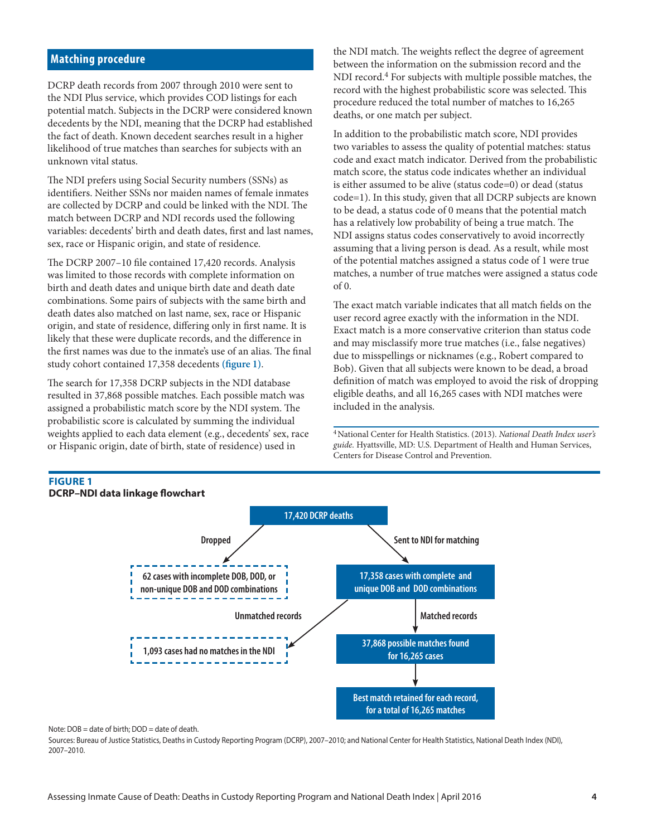# **Matching procedure**

DCRP death records from 2007 through 2010 were sent to the NDI Plus service, which provides COD listings for each potential match. Subjects in the DCRP were considered known decedents by the NDI, meaning that the DCRP had established the fact of death. Known decedent searches result in a higher likelihood of true matches than searches for subjects with an unknown vital status.

The NDI prefers using Social Security numbers (SSNs) as identifiers. Neither SSNs nor maiden names of female inmates are collected by DCRP and could be linked with the NDI. The match between DCRP and NDI records used the following variables: decedents' birth and death dates, first and last names, sex, race or Hispanic origin, and state of residence.

The DCRP 2007–10 file contained 17,420 records. Analysis was limited to those records with complete information on birth and death dates and unique birth date and death date combinations. Some pairs of subjects with the same birth and death dates also matched on last name, sex, race or Hispanic origin, and state of residence, differing only in first name. It is likely that these were duplicate records, and the difference in the first names was due to the inmate's use of an alias. The final study cohort contained 17,358 decedents **(figure 1)**.

The search for 17,358 DCRP subjects in the NDI database resulted in 37,868 possible matches. Each possible match was assigned a probabilistic match score by the NDI system. The probabilistic score is calculated by summing the individual weights applied to each data element (e.g., decedents' sex, race or Hispanic origin, date of birth, state of residence) used in

the NDI match. The weights reflect the degree of agreement between the information on the submission record and the NDI record.4 For subjects with multiple possible matches, the record with the highest probabilistic score was selected. This procedure reduced the total number of matches to 16,265 deaths, or one match per subject.

In addition to the probabilistic match score, NDI provides two variables to assess the quality of potential matches: status code and exact match indicator. Derived from the probabilistic match score, the status code indicates whether an individual is either assumed to be alive (status code=0) or dead (status code=1). In this study, given that all DCRP subjects are known to be dead, a status code of 0 means that the potential match has a relatively low probability of being a true match. The NDI assigns status codes conservatively to avoid incorrectly assuming that a living person is dead. As a result, while most of the potential matches assigned a status code of 1 were true matches, a number of true matches were assigned a status code of 0.

The exact match variable indicates that all match fields on the user record agree exactly with the information in the NDI. Exact match is a more conservative criterion than status code and may misclassify more true matches (i.e., false negatives) due to misspellings or nicknames (e.g., Robert compared to Bob). Given that all subjects were known to be dead, a broad definition of match was employed to avoid the risk of dropping eligible deaths, and all 16,265 cases with NDI matches were included in the analysis.

4National Center for Health Statistics. (2013). *National Death Index user's guide.* Hyattsville, MD: U.S. Department of Health and Human Services, Centers for Disease Control and Prevention.



#### Note:  $DOB =$  date of birth:  $DOD =$  date of death.

**Figure 1**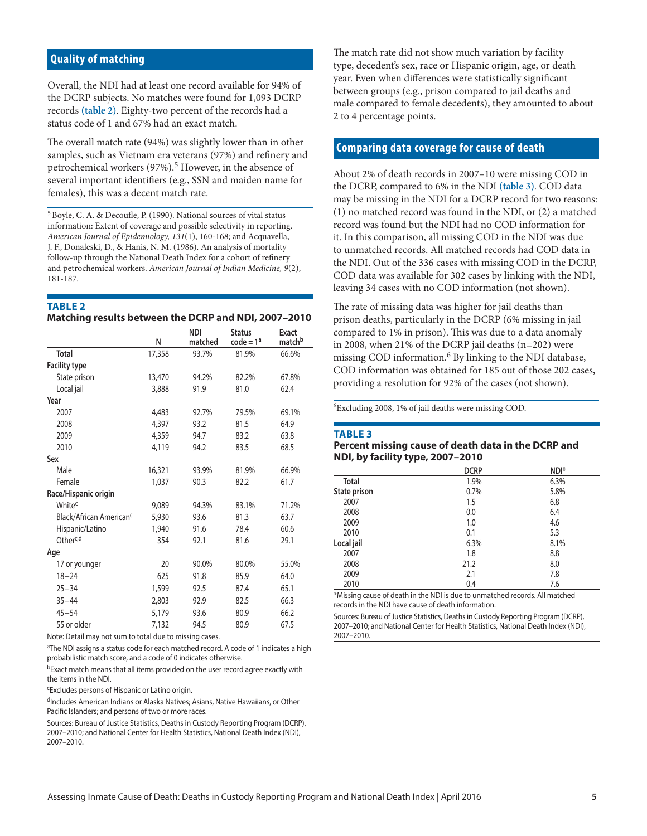# **Quality of matching**

Overall, the NDI had at least one record available for 94% of the DCRP subjects. No matches were found for 1,093 DCRP records **(table 2)**. Eighty-two percent of the records had a status code of 1 and 67% had an exact match.

The overall match rate (94%) was slightly lower than in other samples, such as Vietnam era veterans (97%) and refinery and petrochemical workers (97%).<sup>5</sup> However, in the absence of several important identifiers (e.g., SSN and maiden name for females), this was a decent match rate.

5Boyle, C. A. & Decoufle, P. (1990). National sources of vital status information: Extent of coverage and possible selectivity in reporting. *American Journal of Epidemiology, 131*(1), 160-168; and Acquavella, J. F., Donaleski, D., & Hanis, N. M. (1986). An analysis of mortality follow-up through the National Death Index for a cohort of refinery and petrochemical workers. *American Journal of Indian Medicine, 9*(2), 181-187.

## **TABLE 2**

#### **Matching results between the DCRP and NDI, 2007–2010**

|                                     | N      | <b>NDI</b><br>matched | <b>Status</b><br>$code = 1a$ | Exact<br>match <sup>b</sup> |
|-------------------------------------|--------|-----------------------|------------------------------|-----------------------------|
| <b>Total</b>                        | 17,358 | 93.7%                 | 81.9%                        | 66.6%                       |
| <b>Facility type</b>                |        |                       |                              |                             |
| State prison                        | 13,470 | 94.2%                 | 82.2%                        | 67.8%                       |
| Local jail                          | 3,888  | 91.9                  | 81.0                         | 62.4                        |
| Year                                |        |                       |                              |                             |
| 2007                                | 4,483  | 92.7%                 | 79.5%                        | 69.1%                       |
| 2008                                | 4,397  | 93.2                  | 81.5                         | 64.9                        |
| 2009                                | 4,359  | 94.7                  | 83.2                         | 63.8                        |
| 2010                                | 4,119  | 94.2                  | 83.5                         | 68.5                        |
| Sex                                 |        |                       |                              |                             |
| Male                                | 16,321 | 93.9%                 | 81.9%                        | 66.9%                       |
| Female                              | 1,037  | 90.3                  | 82.2                         | 61.7                        |
| Race/Hispanic origin                |        |                       |                              |                             |
| White <sup>c</sup>                  | 9,089  | 94.3%                 | 83.1%                        | 71.2%                       |
| Black/African American <sup>c</sup> | 5,930  | 93.6                  | 81.3                         | 63.7                        |
| Hispanic/Latino                     | 1,940  | 91.6                  | 78.4                         | 60.6                        |
| Other <sup>c,d</sup>                | 354    | 92.1                  | 81.6                         | 29.1                        |
| Age                                 |        |                       |                              |                             |
| 17 or younger                       | 20     | 90.0%                 | 80.0%                        | 55.0%                       |
| $18 - 24$                           | 625    | 91.8                  | 85.9                         | 64.0                        |
| $25 - 34$                           | 1,599  | 92.5                  | 87.4                         | 65.1                        |
| $35 - 44$                           | 2,803  | 92.9                  | 82.5                         | 66.3                        |
| $45 - 54$                           | 5.179  | 93.6                  | 80.9                         | 66.2                        |
| 55 or older                         | 7.132  | 94.5                  | 80.9                         | 67.5                        |

Note: Detail may not sum to total due to missing cases.

<sup>a</sup>The NDI assigns a status code for each matched record. A code of 1 indicates a high probabilistic match score, and a code of 0 indicates otherwise.

bExact match means that all items provided on the user record agree exactly with the items in the NDI.

cExcludes persons of Hispanic or Latino origin.

dIncludes American Indians or Alaska Natives; Asians, Native Hawaiians, or Other Pacific Islanders; and persons of two or more races.

Sources: Bureau of Justice Statistics, Deaths in Custody Reporting Program (DCRP), 2007–2010; and National Center for Health Statistics, National Death Index (NDI), 2007–2010.

The match rate did not show much variation by facility type, decedent's sex, race or Hispanic origin, age, or death year. Even when differences were statistically significant between groups (e.g., prison compared to jail deaths and male compared to female decedents), they amounted to about 2 to 4 percentage points.

# **Comparing data coverage for cause of death**

About 2% of death records in 2007–10 were missing COD in the DCRP, compared to 6% in the NDI **(table 3)**. COD data may be missing in the NDI for a DCRP record for two reasons: (1) no matched record was found in the NDI, or (2) a matched record was found but the NDI had no COD information for it. In this comparison, all missing COD in the NDI was due to unmatched records. All matched records had COD data in the NDI. Out of the 336 cases with missing COD in the DCRP, COD data was available for 302 cases by linking with the NDI, leaving 34 cases with no COD information (not shown).

The rate of missing data was higher for jail deaths than prison deaths, particularly in the DCRP (6% missing in jail compared to 1% in prison). This was due to a data anomaly in 2008, when 21% of the DCRP jail deaths (n=202) were missing COD information.<sup>6</sup> By linking to the NDI database, COD information was obtained for 185 out of those 202 cases, providing a resolution for 92% of the cases (not shown).

6Excluding 2008, 1% of jail deaths were missing COD.

#### **TABLE 3**

#### **Percent missing cause of death data in the DCRP and NDI, by facility type, 2007–2010**

|              | <b>DCRP</b> | NDI* |
|--------------|-------------|------|
| <b>Total</b> | 1.9%        | 6.3% |
| State prison | 0.7%        | 5.8% |
| 2007         | 1.5         | 6.8  |
| 2008         | 0.0         | 6.4  |
| 2009         | 1.0         | 4.6  |
| 2010         | 0.1         | 5.3  |
| Local jail   | 6.3%        | 8.1% |
| 2007         | 1.8         | 8.8  |
| 2008         | 21.2        | 8.0  |
| 2009         | 2.1         | 7.8  |
| 2010         | 0.4         | 7.6  |

\*Missing cause of death in the NDI is due to unmatched records. All matched records in the NDI have cause of death information.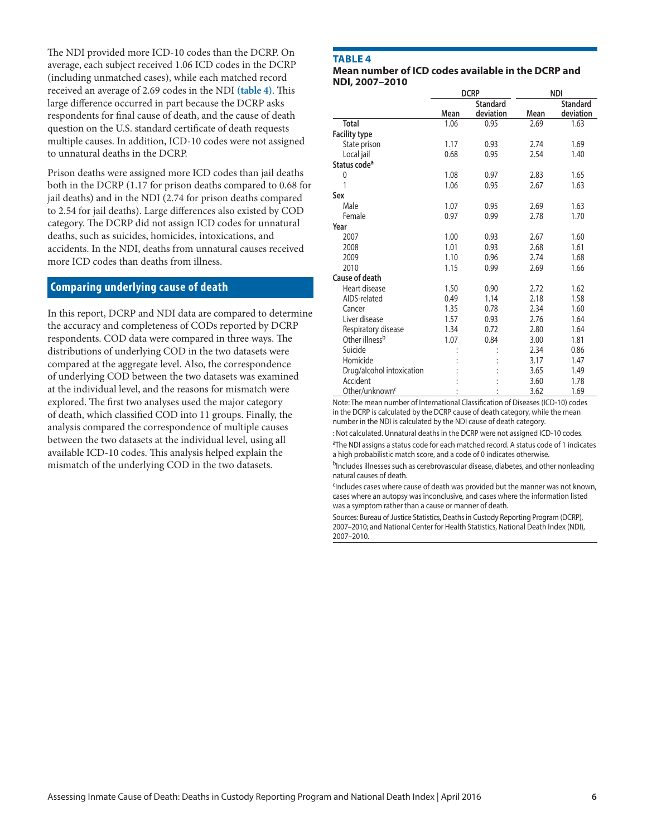The NDI provided more ICD-10 codes than the DCRP. On average, each subject received 1.06 ICD codes in the DCRP (including unmatched cases), while each matched record received an average of 2.69 codes in the NDI **(table 4)**. This large difference occurred in part because the DCRP asks respondents for final cause of death, and the cause of death question on the U.S. standard certificate of death requests multiple causes. In addition, ICD-10 codes were not assigned to unnatural deaths in the DCRP.

Prison deaths were assigned more ICD codes than jail deaths both in the DCRP (1.17 for prison deaths compared to 0.68 for jail deaths) and in the NDI (2.74 for prison deaths compared to 2.54 for jail deaths). Large differences also existed by COD category. The DCRP did not assign ICD codes for unnatural deaths, such as suicides, homicides, intoxications, and accidents. In the NDI, deaths from unnatural causes received more ICD codes than deaths from illness.

# **Comparing underlying cause of death**

In this report, DCRP and NDI data are compared to determine the accuracy and completeness of CODs reported by DCRP respondents. COD data were compared in three ways. The distributions of underlying COD in the two datasets were compared at the aggregate level. Also, the correspondence of underlying COD between the two datasets was examined at the individual level, and the reasons for mismatch were explored. The first two analyses used the major category of death, which classified COD into 11 groups. Finally, the analysis compared the correspondence of multiple causes between the two datasets at the individual level, using all available ICD-10 codes. This analysis helped explain the mismatch of the underlying COD in the two datasets.

# **TABLE 4**

#### **Mean number of ICD codes available in the DCRP and NDI, 2007–2010**

|                            |      | <b>DCRP</b>     |      | <b>NDI</b>      |
|----------------------------|------|-----------------|------|-----------------|
|                            |      | <b>Standard</b> |      | <b>Standard</b> |
|                            | Mean | deviation       | Mean | deviation       |
| <b>Total</b>               | 1.06 | 0.95            | 2.69 | 1.63            |
| <b>Facility type</b>       |      |                 |      |                 |
| State prison               | 1.17 | 0.93            | 2.74 | 1.69            |
| Local jail                 | 0.68 | 0.95            | 2.54 | 1.40            |
| Status code <sup>a</sup>   |      |                 |      |                 |
| $\mathbf{0}$               | 1.08 | 0.97            | 2.83 | 1.65            |
| 1                          | 1.06 | 0.95            | 2.67 | 1.63            |
| Sex                        |      |                 |      |                 |
| Male                       | 1.07 | 0.95            | 2.69 | 1.63            |
| Female                     | 0.97 | 0.99            | 2.78 | 1.70            |
| Year                       |      |                 |      |                 |
| 2007                       | 1.00 | 0.93            | 2.67 | 1.60            |
| 2008                       | 1.01 | 0.93            | 2.68 | 1.61            |
| 2009                       | 1.10 | 0.96            | 2.74 | 1.68            |
| 2010                       | 1.15 | 0.99            | 2.69 | 1.66            |
| Cause of death             |      |                 |      |                 |
| Heart disease              | 1.50 | 0.90            | 2.72 | 1.62            |
| AIDS-related               | 0.49 | 1.14            | 2.18 | 1.58            |
| Cancer                     | 1.35 | 0.78            | 2.34 | 1.60            |
| Liver disease              | 1.57 | 0.93            | 2.76 | 1.64            |
| Respiratory disease        | 1.34 | 0.72            | 2.80 | 1.64            |
| Other illness <sup>b</sup> | 1.07 | 0.84            | 3.00 | 1.81            |
| Suicide                    |      |                 | 2.34 | 0.86            |
| Homicide                   |      |                 | 3.17 | 1.47            |
| Drug/alcohol intoxication  |      |                 | 3.65 | 1.49            |
| Accident                   |      |                 | 3.60 | 1.78            |
| Other/unknown <sup>c</sup> |      |                 | 3.62 | 1.69            |

Note: The mean number of International Classification of Diseases (ICD-10) codes in the DCRP is calculated by the DCRP cause of death category, while the mean number in the NDI is calculated by the NDI cause of death category.

: Not calculated. Unnatural deaths in the DCRP were not assigned ICD-10 codes. <sup>a</sup>The NDI assigns a status code for each matched record. A status code of 1 indicates a high probabilistic match score, and a code of 0 indicates otherwise.

bIncludes illnesses such as cerebrovascular disease, diabetes, and other nonleading natural causes of death.

<sup>c</sup>Includes cases where cause of death was provided but the manner was not known, cases where an autopsy was inconclusive, and cases where the information listed was a symptom rather than a cause or manner of death.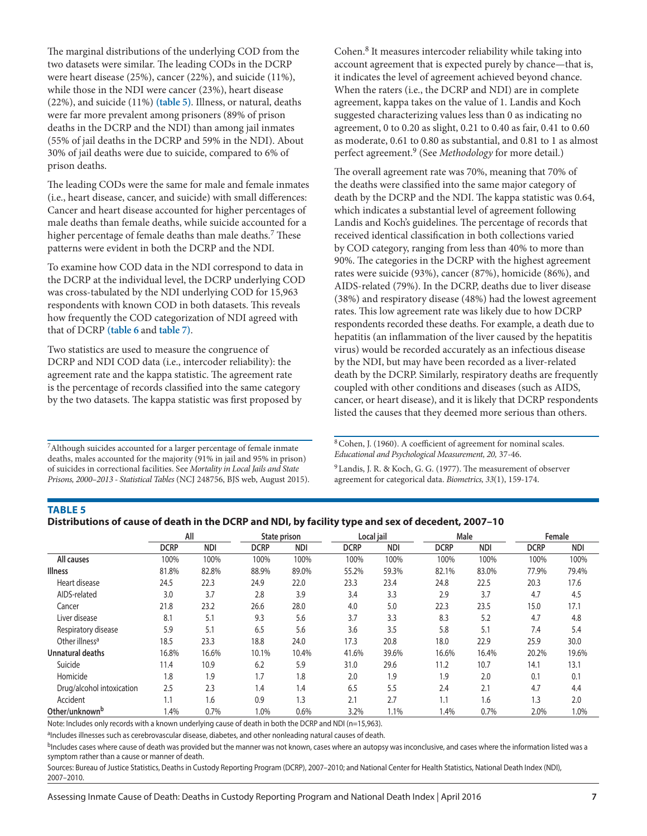The marginal distributions of the underlying COD from the two datasets were similar. The leading CODs in the DCRP were heart disease (25%), cancer (22%), and suicide (11%), while those in the NDI were cancer (23%), heart disease (22%), and suicide (11%) **(table 5)**. Illness, or natural, deaths were far more prevalent among prisoners (89% of prison deaths in the DCRP and the NDI) than among jail inmates (55% of jail deaths in the DCRP and 59% in the NDI). About 30% of jail deaths were due to suicide, compared to 6% of prison deaths.

The leading CODs were the same for male and female inmates (i.e., heart disease, cancer, and suicide) with small differences: Cancer and heart disease accounted for higher percentages of male deaths than female deaths, while suicide accounted for a higher percentage of female deaths than male deaths.<sup>7</sup> These patterns were evident in both the DCRP and the NDI.

To examine how COD data in the NDI correspond to data in the DCRP at the individual level, the DCRP underlying COD was cross-tabulated by the NDI underlying COD for 15,963 respondents with known COD in both datasets. This reveals how frequently the COD categorization of NDI agreed with that of DCRP **(table 6** and **table 7)**.

Two statistics are used to measure the congruence of DCRP and NDI COD data (i.e., intercoder reliability): the agreement rate and the kappa statistic. The agreement rate is the percentage of records classified into the same category by the two datasets. The kappa statistic was first proposed by

7Although suicides accounted for a larger percentage of female inmate deaths, males accounted for the majority (91% in jail and 95% in prison) of suicides in correctional facilities. See *Mortality in Local Jails and State Prisons, 2000–2013 - Statistical Tables* (NCJ 248756, BJS web, August 2015). Cohen.8 It measures intercoder reliability while taking into account agreement that is expected purely by chance—that is, it indicates the level of agreement achieved beyond chance. When the raters (i.e., the DCRP and NDI) are in complete agreement, kappa takes on the value of 1. Landis and Koch suggested characterizing values less than 0 as indicating no agreement, 0 to 0.20 as slight, 0.21 to 0.40 as fair, 0.41 to 0.60 as moderate, 0.61 to 0.80 as substantial, and 0.81 to 1 as almost perfect agreement.9 (See *Methodology* for more detail.)

The overall agreement rate was 70%, meaning that 70% of the deaths were classified into the same major category of death by the DCRP and the NDI. The kappa statistic was 0.64, which indicates a substantial level of agreement following Landis and Koch's guidelines. The percentage of records that received identical classification in both collections varied by COD category, ranging from less than 40% to more than 90%. The categories in the DCRP with the highest agreement rates were suicide (93%), cancer (87%), homicide (86%), and AIDS-related (79%). In the DCRP, deaths due to liver disease (38%) and respiratory disease (48%) had the lowest agreement rates. This low agreement rate was likely due to how DCRP respondents recorded these deaths. For example, a death due to hepatitis (an inflammation of the liver caused by the hepatitis virus) would be recorded accurately as an infectious disease by the NDI, but may have been recorded as a liver-related death by the DCRP. Similarly, respiratory deaths are frequently coupled with other conditions and diseases (such as AIDS, cancer, or heart disease), and it is likely that DCRP respondents listed the causes that they deemed more serious than others.

8Cohen, J. (1960). A coefficient of agreement for nominal scales. *Educational and Psychological Measurement, 20,* 37-46.

<sup>9</sup> Landis, J. R. & Koch, G. G. (1977). The measurement of observer agreement for categorical data. *Biometrics, 33*(1), 159-174.

# **TABLE 5**

| Distributions of cause of death in the DCRP and NDI, by facility type and sex of decedent, 2007–10 |  |
|----------------------------------------------------------------------------------------------------|--|
|----------------------------------------------------------------------------------------------------|--|

|                            |             | All        |             | State prison |             | Local jail | Male        |            |             | Female     |
|----------------------------|-------------|------------|-------------|--------------|-------------|------------|-------------|------------|-------------|------------|
|                            | <b>DCRP</b> | <b>NDI</b> | <b>DCRP</b> | <b>NDI</b>   | <b>DCRP</b> | <b>NDI</b> | <b>DCRP</b> | <b>NDI</b> | <b>DCRP</b> | <b>NDI</b> |
| All causes                 | 100%        | 100%       | 100%        | 100%         | 100%        | 100%       | 100%        | 100%       | 100%        | 100%       |
| <b>Illness</b>             | 81.8%       | 82.8%      | 88.9%       | 89.0%        | 55.2%       | 59.3%      | 82.1%       | 83.0%      | 77.9%       | 79.4%      |
| Heart disease              | 24.5        | 22.3       | 24.9        | 22.0         | 23.3        | 23.4       | 24.8        | 22.5       | 20.3        | 17.6       |
| AIDS-related               | 3.0         | 3.7        | 2.8         | 3.9          | 3.4         | 3.3        | 2.9         | 3.7        | 4.7         | 4.5        |
| Cancer                     | 21.8        | 23.2       | 26.6        | 28.0         | 4.0         | 5.0        | 22.3        | 23.5       | 15.0        | 17.1       |
| Liver disease              | 8.1         | 5.1        | 9.3         | 5.6          | 3.7         | 3.3        | 8.3         | 5.2        | 4.7         | 4.8        |
| Respiratory disease        | 5.9         | 5.1        | 6.5         | 5.6          | 3.6         | 3.5        | 5.8         | 5.1        | 7.4         | 5.4        |
| Other illness <sup>a</sup> | 18.5        | 23.3       | 18.8        | 24.0         | 17.3        | 20.8       | 18.0        | 22.9       | 25.9        | 30.0       |
| <b>Unnatural deaths</b>    | 16.8%       | 16.6%      | 10.1%       | 10.4%        | 41.6%       | 39.6%      | 16.6%       | 16.4%      | 20.2%       | 19.6%      |
| Suicide                    | 11.4        | 10.9       | 6.2         | 5.9          | 31.0        | 29.6       | 11.2        | 10.7       | 14.1        | 13.1       |
| Homicide                   | 1.8         | 1.9        | 1.7         | 1.8          | 2.0         | 1.9        | 1.9         | 2.0        | 0.1         | 0.1        |
| Drug/alcohol intoxication  | 2.5         | 2.3        | 1.4         | 1.4          | 6.5         | 5.5        | 2.4         | 2.1        | 4.7         | 4.4        |
| Accident                   | 1.1         | 1.6        | 0.9         | 1.3          | 2.1         | 2.7        | 1<br>1.1    | 1.6        | 1.3         | 2.0        |
| Other/unknown <sup>b</sup> | 1.4%        | 0.7%       | 1.0%        | 0.6%         | 3.2%        | 1.1%       | 1.4%        | 0.7%       | 2.0%        | 1.0%       |

Note: Includes only records with a known underlying cause of death in both the DCRP and NDI (n=15,963).

<sup>a</sup>Includes illnesses such as cerebrovascular disease, diabetes, and other nonleading natural causes of death.

<sup>b</sup>Includes cases where cause of death was provided but the manner was not known, cases where an autopsy was inconclusive, and cases where the information listed was a symptom rather than a cause or manner of death.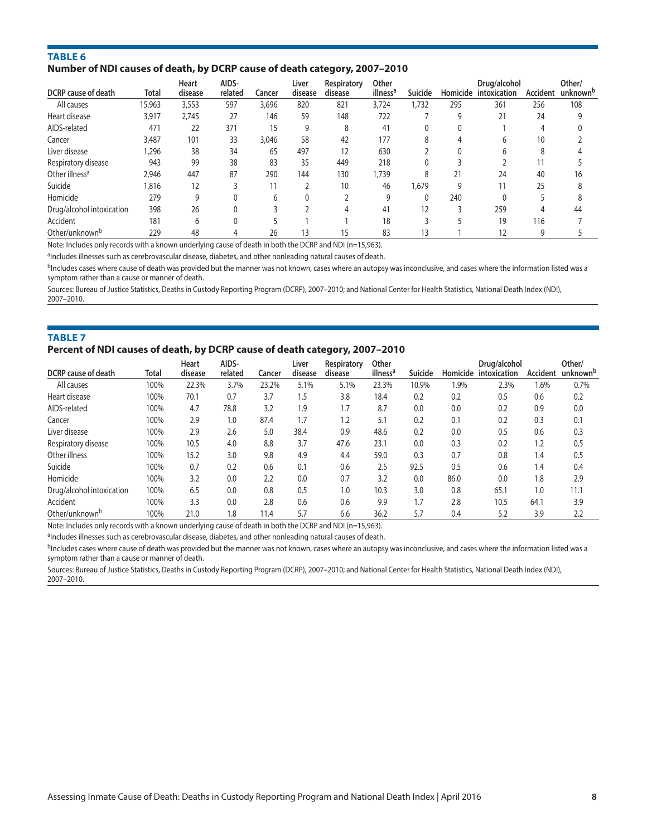# **TABLE 6 Number of NDI causes of death, by DCRP cause of death category, 2007–2010**

| DCRP cause of death        | Total  | Heart<br>disease | AIDS-<br>related | Cancer | Liver<br>disease | Respiratory<br>disease | Other<br>illness <sup>a</sup> | Suicide |     | Drug/alcohol<br>Homicide intoxication | Accident | Other/<br>unknown <sup>b</sup> |
|----------------------------|--------|------------------|------------------|--------|------------------|------------------------|-------------------------------|---------|-----|---------------------------------------|----------|--------------------------------|
| All causes                 | 15,963 | 3,553            | 597              | 3,696  | 820              | 821                    | 3,724                         | 1,732   | 295 | 361                                   | 256      | 108                            |
| Heart disease              | 3,917  | 2,745            | 27               | 146    | 59               | 148                    | 722                           |         | g   | 21                                    | 24       |                                |
| AIDS-related               | 471    | 22               | 371              | 15     | 9                | 8                      | 41                            | 0       |     |                                       | 4        |                                |
| Cancer                     | 3,487  | 101              | 33               | 3,046  | 58               | 42                     | 177                           | 8       |     |                                       | 10       |                                |
| Liver disease              | 1,296  | 38               | 34               | 65     | 497              | 12                     | 630                           |         |     |                                       | ጸ        |                                |
| Respiratory disease        | 943    | 99               | 38               | 83     | 35               | 449                    | 218                           | 0       |     |                                       |          |                                |
| Other illness <sup>a</sup> | 2,946  | 447              | 87               | 290    | 144              | 130                    | 1,739                         | 8       | 21  | 24                                    | 40       | 16                             |
| Suicide                    | 1,816  | 12               |                  |        |                  | 10                     | 46                            | 1,679   | 9   |                                       | 25       |                                |
| Homicide                   | 279    | 9                |                  | h.     |                  |                        | 9                             | 0       | 240 |                                       |          |                                |
| Drug/alcohol intoxication  | 398    | 26               |                  |        |                  |                        | 41                            | 12      |     | 259                                   |          | 44                             |
| Accident                   | 181    | 6                |                  |        |                  |                        | 18                            |         |     | 19                                    | 116      |                                |
| Other/unknown <sup>b</sup> | 229    | 48               |                  | 26     | 13               | 15                     | 83                            | 13      |     |                                       |          |                                |

Note: Includes only records with a known underlying cause of death in both the DCRP and NDI (n=15,963).

aIncludes illnesses such as cerebrovascular disease, diabetes, and other nonleading natural causes of death.

<sup>b</sup>Includes cases where cause of death was provided but the manner was not known, cases where an autopsy was inconclusive, and cases where the information listed was a symptom rather than a cause or manner of death.

Sources: Bureau of Justice Statistics, Deaths in Custody Reporting Program (DCRP), 2007–2010; and National Center for Health Statistics, National Death Index (NDI), 2007–2010.

# **TABLE 7 Percent of NDI causes of death, by DCRP cause of death category, 2007–2010**

|                            |       | Heart   | AIDS-   |        | Liver   | Respiratory | Other                |         |      | Drug/alcohol          |                 | Other/               |
|----------------------------|-------|---------|---------|--------|---------|-------------|----------------------|---------|------|-----------------------|-----------------|----------------------|
| <b>DCRP</b> cause of death | Total | disease | related | Cancer | disease | disease     | illness <sup>a</sup> | Suicide |      | Homicide intoxication | <b>Accident</b> | unknown <sup>b</sup> |
| All causes                 | 100%  | 22.3%   | 3.7%    | 23.2%  | 5.1%    | 5.1%        | 23.3%                | 10.9%   | 1.9% | 2.3%                  | $1.6\%$         | 0.7%                 |
| Heart disease              | 100%  | 70.1    | 0.7     | 3.7    | 1.5     | 3.8         | 18.4                 | 0.2     | 0.2  | 0.5                   | 0.6             | 0.2                  |
| AIDS-related               | 100%  | 4.7     | 78.8    | 3.2    | 1.9     | 1.7         | 8.7                  | 0.0     | 0.0  | 0.2                   | 0.9             | 0.0                  |
| Cancer                     | 100%  | 2.9     | 1.0     | 87.4   | 1.7     | 1.2         | 5.1                  | 0.2     | 0.1  | 0.2                   | 0.3             | 0.1                  |
| Liver disease              | 100%  | 2.9     | 2.6     | 5.0    | 38.4    | 0.9         | 48.6                 | 0.2     | 0.0  | 0.5                   | 0.6             | 0.3                  |
| Respiratory disease        | 100%  | 10.5    | 4.0     | 8.8    | 3.7     | 47.6        | 23.1                 | 0.0     | 0.3  | 0.2                   | 1.2             | 0.5                  |
| Other illness              | 100%  | 15.2    | 3.0     | 9.8    | 4.9     | 4.4         | 59.0                 | 0.3     | 0.7  | 0.8                   | 1.4             | 0.5                  |
| Suicide                    | 100%  | 0.7     | 0.2     | 0.6    | 0.1     | 0.6         | 2.5                  | 92.5    | 0.5  | 0.6                   | 1.4             | 0.4                  |
| Homicide                   | 100%  | 3.2     | 0.0     | 2.2    | 0.0     | 0.7         | 3.2                  | 0.0     | 86.0 | 0.0                   | 1.8             | 2.9                  |
| Drug/alcohol intoxication  | 100%  | 6.5     | 0.0     | 0.8    | 0.5     | 1.0         | 10.3                 | 3.0     | 0.8  | 65.1                  | 1.0             | 11.1                 |
| Accident                   | 100%  | 3.3     | 0.0     | 2.8    | 0.6     | 0.6         | 9.9                  | 1.7     | 2.8  | 10.5                  | 64.7            | 3.9                  |
| Other/unknown <sup>b</sup> | 100%  | 21.0    | 1.8     | 11.4   | 5.7     | 6.6         | 36.2                 | 5.7     | 0.4  | 5.2                   | 3.9             | 2.2                  |

Note: Includes only records with a known underlying cause of death in both the DCRP and NDI (n=15,963).

aIncludes illnesses such as cerebrovascular disease, diabetes, and other nonleading natural causes of death.

<sup>b</sup>Includes cases where cause of death was provided but the manner was not known, cases where an autopsy was inconclusive, and cases where the information listed was a symptom rather than a cause or manner of death.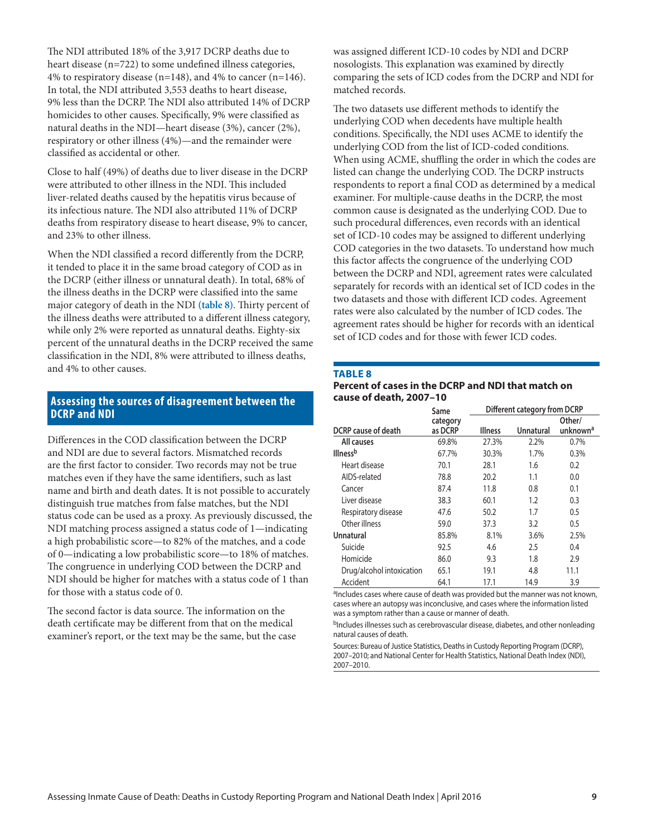The NDI attributed 18% of the 3,917 DCRP deaths due to heart disease (n=722) to some undefined illness categories, 4% to respiratory disease (n=148), and 4% to cancer (n=146). In total, the NDI attributed 3,553 deaths to heart disease, 9% less than the DCRP. The NDI also attributed 14% of DCRP homicides to other causes. Specifically, 9% were classified as natural deaths in the NDI—heart disease (3%), cancer (2%), respiratory or other illness (4%)—and the remainder were classified as accidental or other.

Close to half (49%) of deaths due to liver disease in the DCRP were attributed to other illness in the NDI. This included liver-related deaths caused by the hepatitis virus because of its infectious nature. The NDI also attributed 11% of DCRP deaths from respiratory disease to heart disease, 9% to cancer, and 23% to other illness.

When the NDI classified a record differently from the DCRP, it tended to place it in the same broad category of COD as in the DCRP (either illness or unnatural death). In total, 68% of the illness deaths in the DCRP were classified into the same major category of death in the NDI **(table 8)**. Thirty percent of the illness deaths were attributed to a different illness category, while only 2% were reported as unnatural deaths. Eighty-six percent of the unnatural deaths in the DCRP received the same classification in the NDI, 8% were attributed to illness deaths, and 4% to other causes.

# **Assessing the sources of disagreement between the DCRP and NDI**

Differences in the COD classification between the DCRP and NDI are due to several factors. Mismatched records are the first factor to consider. Two records may not be true matches even if they have the same identifiers, such as last name and birth and death dates. It is not possible to accurately distinguish true matches from false matches, but the NDI status code can be used as a proxy. As previously discussed, the NDI matching process assigned a status code of 1—indicating a high probabilistic score—to 82% of the matches, and a code of 0—indicating a low probabilistic score—to 18% of matches. The congruence in underlying COD between the DCRP and NDI should be higher for matches with a status code of 1 than for those with a status code of 0.

The second factor is data source. The information on the death certificate may be different from that on the medical examiner's report, or the text may be the same, but the case was assigned different ICD-10 codes by NDI and DCRP nosologists. This explanation was examined by directly comparing the sets of ICD codes from the DCRP and NDI for matched records.

The two datasets use different methods to identify the underlying COD when decedents have multiple health conditions. Specifically, the NDI uses ACME to identify the underlying COD from the list of ICD-coded conditions. When using ACME, shuffling the order in which the codes are listed can change the underlying COD. The DCRP instructs respondents to report a final COD as determined by a medical examiner. For multiple-cause deaths in the DCRP, the most common cause is designated as the underlying COD. Due to such procedural differences, even records with an identical set of ICD-10 codes may be assigned to different underlying COD categories in the two datasets. To understand how much this factor affects the congruence of the underlying COD between the DCRP and NDI, agreement rates were calculated separately for records with an identical set of ICD codes in the two datasets and those with different ICD codes. Agreement rates were also calculated by the number of ICD codes. The agreement rates should be higher for records with an identical set of ICD codes and for those with fewer ICD codes.

## **TABLE 8**

#### **Percent of cases in the DCRP and NDI that match on cause of death, 2007–10**

|                           | Same                |                | Different category from DCRP |                                |
|---------------------------|---------------------|----------------|------------------------------|--------------------------------|
| DCRP cause of death       | category<br>as DCRP | <b>Illness</b> | Unnatural                    | Other/<br>unknown <sup>a</sup> |
| All causes                | 69.8%               | 27.3%          | 2.2%                         | 0.7%                           |
| <b>Illness</b> b          | 67.7%               | 30.3%          | 1.7%                         | 0.3%                           |
| Heart disease             | 70.1                | 28.1           | 1.6                          | 0.2                            |
| AIDS-related              | 78.8                | 20.2           | 1.1                          | 0.0                            |
| Cancer                    | 87.4                | 11.8           | 0.8                          | 0.1                            |
| Liver disease             | 38.3                | 60.1           | 1.2                          | 0.3                            |
| Respiratory disease       | 47.6                | 50.2           | 1.7                          | 0.5                            |
| Other illness             | 59.0                | 37.3           | 3.2                          | 0.5                            |
| Unnatural                 | 85.8%               | 8.1%           | 3.6%                         | 2.5%                           |
| Suicide                   | 92.5                | 4.6            | 2.5                          | 0.4                            |
| Homicide                  | 86.0                | 9.3            | 1.8                          | 2.9                            |
| Drug/alcohol intoxication | 65.1                | 19.1           | 4.8                          | 11.1                           |
| Accident                  | 64.1                | 17.1           | 14.9                         | 3.9                            |

aIncludes cases where cause of death was provided but the manner was not known, cases where an autopsy was inconclusive, and cases where the information listed was a symptom rather than a cause or manner of death.

bIncludes illnesses such as cerebrovascular disease, diabetes, and other nonleading natural causes of death.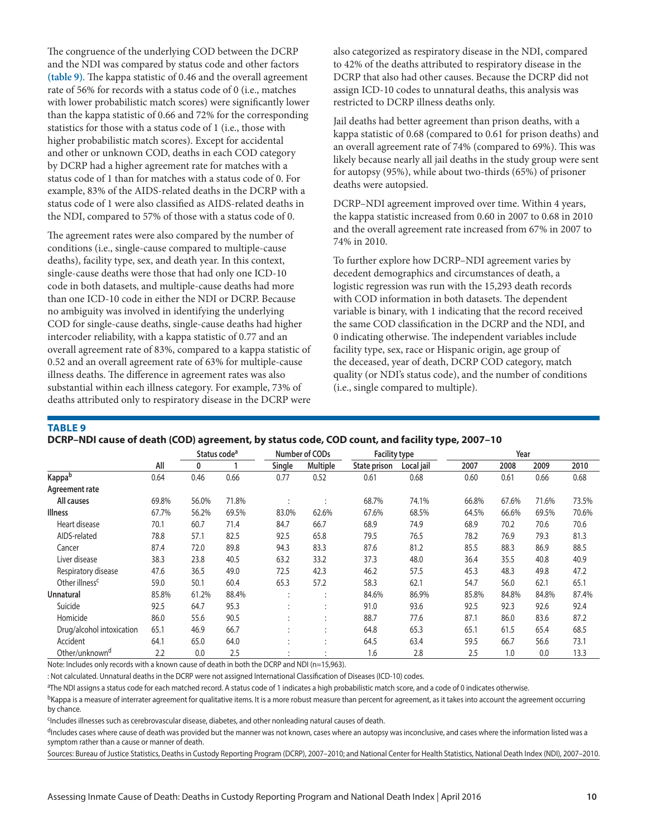The congruence of the underlying COD between the DCRP and the NDI was compared by status code and other factors **(table 9)**. The kappa statistic of 0.46 and the overall agreement rate of 56% for records with a status code of 0 (i.e., matches with lower probabilistic match scores) were significantly lower than the kappa statistic of 0.66 and 72% for the corresponding statistics for those with a status code of 1 (i.e., those with higher probabilistic match scores). Except for accidental and other or unknown COD, deaths in each COD category by DCRP had a higher agreement rate for matches with a status code of 1 than for matches with a status code of 0. For example, 83% of the AIDS-related deaths in the DCRP with a status code of 1 were also classified as AIDS-related deaths in the NDI, compared to 57% of those with a status code of 0.

The agreement rates were also compared by the number of conditions (i.e., single-cause compared to multiple-cause deaths), facility type, sex, and death year. In this context, single-cause deaths were those that had only one ICD-10 code in both datasets, and multiple-cause deaths had more than one ICD-10 code in either the NDI or DCRP. Because no ambiguity was involved in identifying the underlying COD for single-cause deaths, single-cause deaths had higher intercoder reliability, with a kappa statistic of 0.77 and an overall agreement rate of 83%, compared to a kappa statistic of 0.52 and an overall agreement rate of 63% for multiple-cause illness deaths. The difference in agreement rates was also substantial within each illness category. For example, 73% of deaths attributed only to respiratory disease in the DCRP were

also categorized as respiratory disease in the NDI, compared to 42% of the deaths attributed to respiratory disease in the DCRP that also had other causes. Because the DCRP did not assign ICD-10 codes to unnatural deaths, this analysis was restricted to DCRP illness deaths only.

Jail deaths had better agreement than prison deaths, with a kappa statistic of 0.68 (compared to 0.61 for prison deaths) and an overall agreement rate of 74% (compared to 69%). This was likely because nearly all jail deaths in the study group were sent for autopsy (95%), while about two-thirds (65%) of prisoner deaths were autopsied.

DCRP–NDI agreement improved over time. Within 4 years, the kappa statistic increased from 0.60 in 2007 to 0.68 in 2010 and the overall agreement rate increased from 67% in 2007 to 74% in 2010.

To further explore how DCRP–NDI agreement varies by decedent demographics and circumstances of death, a logistic regression was run with the 15,293 death records with COD information in both datasets. The dependent variable is binary, with 1 indicating that the record received the same COD classification in the DCRP and the NDI, and 0 indicating otherwise. The independent variables include facility type, sex, race or Hispanic origin, age group of the deceased, year of death, DCRP COD category, match quality (or NDI's status code), and the number of conditions (i.e., single compared to multiple).

## **TABLE 9**

| DCRP-NDI cause of death (COD) agreement, by status code, COD count, and facility type, 2007-10 |
|------------------------------------------------------------------------------------------------|
|------------------------------------------------------------------------------------------------|

|                            |       | Status code <sup>a</sup> |       |        | Number of CODs | <b>Facility type</b> |            |       | Year  |       |       |
|----------------------------|-------|--------------------------|-------|--------|----------------|----------------------|------------|-------|-------|-------|-------|
|                            | All   | 0                        |       | Single | Multiple       | State prison         | Local jail | 2007  | 2008  | 2009  | 2010  |
| Kappab                     | 0.64  | 0.46                     | 0.66  | 0.77   | 0.52           | 0.61                 | 0.68       | 0.60  | 0.61  | 0.66  | 0.68  |
| Agreement rate             |       |                          |       |        |                |                      |            |       |       |       |       |
| All causes                 | 69.8% | 56.0%                    | 71.8% |        |                | 68.7%                | 74.1%      | 66.8% | 67.6% | 71.6% | 73.5% |
| <b>Illness</b>             | 67.7% | 56.2%                    | 69.5% | 83.0%  | 62.6%          | 67.6%                | 68.5%      | 64.5% | 66.6% | 69.5% | 70.6% |
| Heart disease              | 70.1  | 60.7                     | 71.4  | 84.7   | 66.7           | 68.9                 | 74.9       | 68.9  | 70.2  | 70.6  | 70.6  |
| AIDS-related               | 78.8  | 57.1                     | 82.5  | 92.5   | 65.8           | 79.5                 | 76.5       | 78.2  | 76.9  | 79.3  | 81.3  |
| Cancer                     | 87.4  | 72.0                     | 89.8  | 94.3   | 83.3           | 87.6                 | 81.2       | 85.5  | 88.3  | 86.9  | 88.5  |
| Liver disease              | 38.3  | 23.8                     | 40.5  | 63.2   | 33.2           | 37.3                 | 48.0       | 36.4  | 35.5  | 40.8  | 40.9  |
| Respiratory disease        | 47.6  | 36.5                     | 49.0  | 72.5   | 42.3           | 46.2                 | 57.5       | 45.3  | 48.3  | 49.8  | 47.2  |
| Other illness <sup>c</sup> | 59.0  | 50.1                     | 60.4  | 65.3   | 57.2           | 58.3                 | 62.1       | 54.7  | 56.0  | 62.1  | 65.1  |
| Unnatural                  | 85.8% | 61.2%                    | 88.4% |        |                | 84.6%                | 86.9%      | 85.8% | 84.8% | 84.8% | 87.4% |
| Suicide                    | 92.5  | 64.7                     | 95.3  |        |                | 91.0                 | 93.6       | 92.5  | 92.3  | 92.6  | 92.4  |
| Homicide                   | 86.0  | 55.6                     | 90.5  |        |                | 88.7                 | 77.6       | 87.1  | 86.0  | 83.6  | 87.2  |
| Drug/alcohol intoxication  | 65.1  | 46.9                     | 66.7  |        |                | 64.8                 | 65.3       | 65.1  | 61.5  | 65.4  | 68.5  |
| Accident                   | 64.1  | 65.0                     | 64.0  |        |                | 64.5                 | 63.4       | 59.5  | 66.7  | 56.6  | 73.1  |
| Other/unknown <sup>d</sup> | 2.2   | 0.0                      | 2.5   |        |                | 1.6                  | 2.8        | 2.5   | 1.0   | 0.0   | 13.3  |

Note: Includes only records with a known cause of death in both the DCRP and NDI (n=15,963).

: Not calculated. Unnatural deaths in the DCRP were not assigned International Classification of Diseases (ICD-10) codes.

aThe NDI assigns a status code for each matched record. A status code of 1 indicates a high probabilistic match score, and a code of 0 indicates otherwise.

<sup>b</sup>Kappa is a measure of interrater agreement for qualitative items. It is a more robust measure than percent for agreement, as it takes into account the agreement occurring by chance.

<sup>c</sup>Includes illnesses such as cerebrovascular disease, diabetes, and other nonleading natural causes of death.

dIncludes cases where cause of death was provided but the manner was not known, cases where an autopsy was inconclusive, and cases where the information listed was a symptom rather than a cause or manner of death.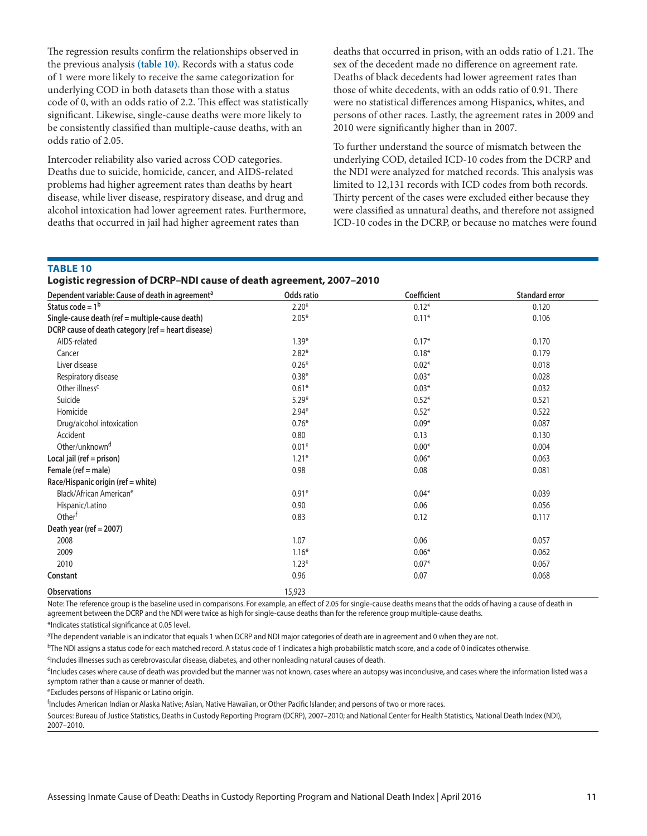The regression results confirm the relationships observed in the previous analysis **(table 10)**. Records with a status code of 1 were more likely to receive the same categorization for underlying COD in both datasets than those with a status code of 0, with an odds ratio of 2.2. This effect was statistically significant. Likewise, single-cause deaths were more likely to be consistently classified than multiple-cause deaths, with an odds ratio of 2.05.

Intercoder reliability also varied across COD categories. Deaths due to suicide, homicide, cancer, and AIDS-related problems had higher agreement rates than deaths by heart disease, while liver disease, respiratory disease, and drug and alcohol intoxication had lower agreement rates. Furthermore, deaths that occurred in jail had higher agreement rates than

deaths that occurred in prison, with an odds ratio of 1.21. The sex of the decedent made no difference on agreement rate. Deaths of black decedents had lower agreement rates than those of white decedents, with an odds ratio of 0.91. There were no statistical differences among Hispanics, whites, and persons of other races. Lastly, the agreement rates in 2009 and 2010 were significantly higher than in 2007.

To further understand the source of mismatch between the underlying COD, detailed ICD-10 codes from the DCRP and the NDI were analyzed for matched records. This analysis was limited to 12,131 records with ICD codes from both records. Thirty percent of the cases were excluded either because they were classified as unnatural deaths, and therefore not assigned ICD-10 codes in the DCRP, or because no matches were found

#### **TABLE 10**

# **Logistic regression of DCRP–NDI cause of death agreement, 2007–2010**

| Dependent variable: Cause of death in agreement <sup>a</sup> | Odds ratio | Coefficient | <b>Standard error</b> |
|--------------------------------------------------------------|------------|-------------|-----------------------|
| Status code = $1b$                                           | $2.20*$    | $0.12*$     | 0.120                 |
| Single-cause death (ref = multiple-cause death)              | $2.05*$    | $0.11*$     | 0.106                 |
| DCRP cause of death category (ref = heart disease)           |            |             |                       |
| AIDS-related                                                 | $1.39*$    | $0.17*$     | 0.170                 |
| Cancer                                                       | $2.82*$    | $0.18*$     | 0.179                 |
| Liver disease                                                | $0.26*$    | $0.02*$     | 0.018                 |
| Respiratory disease                                          | $0.38*$    | $0.03*$     | 0.028                 |
| Other illness <sup>c</sup>                                   | $0.61*$    | $0.03*$     | 0.032                 |
| Suicide                                                      | $5.29*$    | $0.52*$     | 0.521                 |
| Homicide                                                     | $2.94*$    | $0.52*$     | 0.522                 |
| Drug/alcohol intoxication                                    | $0.76*$    | $0.09*$     | 0.087                 |
| Accident                                                     | 0.80       | 0.13        | 0.130                 |
| Other/unknown <sup>d</sup>                                   | $0.01*$    | $0.00*$     | 0.004                 |
| Local jail (ref = prison)                                    | $1.21*$    | $0.06*$     | 0.063                 |
| Female (ref = male)                                          | 0.98       | 0.08        | 0.081                 |
| Race/Hispanic origin (ref = white)                           |            |             |                       |
| Black/African American <sup>e</sup>                          | $0.91*$    | $0.04*$     | 0.039                 |
| Hispanic/Latino                                              | 0.90       | 0.06        | 0.056                 |
| Otherf                                                       | 0.83       | 0.12        | 0.117                 |
| Death year (ref = 2007)                                      |            |             |                       |
| 2008                                                         | 1.07       | 0.06        | 0.057                 |
| 2009                                                         | $1.16*$    | $0.06*$     | 0.062                 |
| 2010                                                         | $1.23*$    | $0.07*$     | 0.067                 |
| Constant                                                     | 0.96       | 0.07        | 0.068                 |
| <b>Observations</b>                                          | 15,923     |             |                       |

Note: The reference group is the baseline used in comparisons. For example, an effect of 2.05 for single-cause deaths means that the odds of having a cause of death in agreement between the DCRP and the NDI were twice as high for single-cause deaths than for the reference group multiple-cause deaths. \*Indicates statistical significance at 0.05 level.

a The dependent variable is an indicator that equals 1 when DCRP and NDI major categories of death are in agreement and 0 when they are not.

bThe NDI assigns a status code for each matched record. A status code of 1 indicates a high probabilistic match score, and a code of 0 indicates otherwise.

<sup>c</sup>Includes illnesses such as cerebrovascular disease, diabetes, and other nonleading natural causes of death.

dIncludes cases where cause of death was provided but the manner was not known, cases where an autopsy was inconclusive, and cases where the information listed was a symptom rather than a cause or manner of death.

eExcludes persons of Hispanic or Latino origin.

f Includes American Indian or Alaska Native; Asian, Native Hawaiian, or Other Pacific Islander; and persons of two or more races.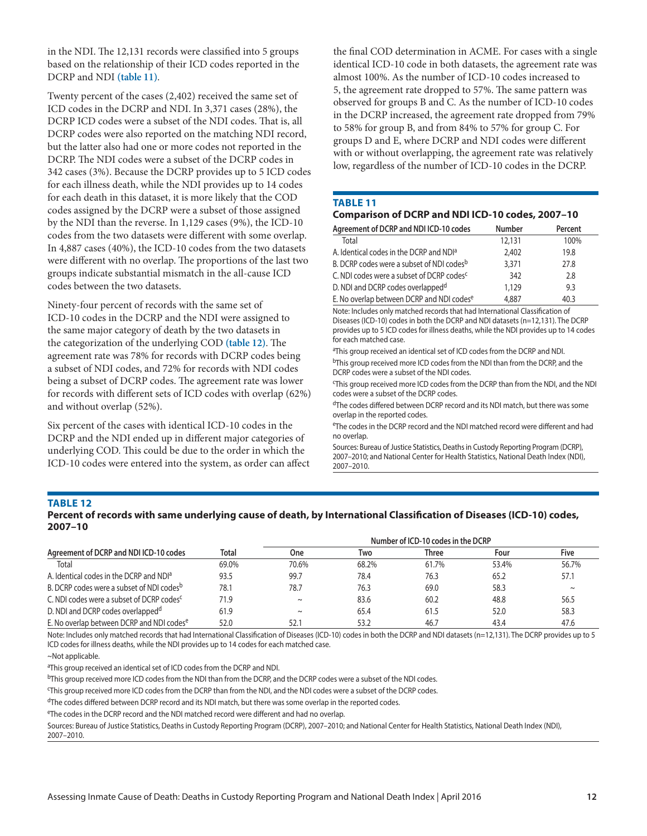in the NDI. The 12,131 records were classified into 5 groups based on the relationship of their ICD codes reported in the DCRP and NDI **(table 11)**.

Twenty percent of the cases (2,402) received the same set of ICD codes in the DCRP and NDI. In 3,371 cases (28%), the DCRP ICD codes were a subset of the NDI codes. That is, all DCRP codes were also reported on the matching NDI record, but the latter also had one or more codes not reported in the DCRP. The NDI codes were a subset of the DCRP codes in 342 cases (3%). Because the DCRP provides up to 5 ICD codes for each illness death, while the NDI provides up to 14 codes for each death in this dataset, it is more likely that the COD codes assigned by the DCRP were a subset of those assigned by the NDI than the reverse. In 1,129 cases (9%), the ICD-10 codes from the two datasets were different with some overlap. In 4,887 cases (40%), the ICD-10 codes from the two datasets were different with no overlap. The proportions of the last two groups indicate substantial mismatch in the all-cause ICD codes between the two datasets.

Ninety-four percent of records with the same set of ICD-10 codes in the DCRP and the NDI were assigned to the same major category of death by the two datasets in the categorization of the underlying COD **(table 12)**. The agreement rate was 78% for records with DCRP codes being a subset of NDI codes, and 72% for records with NDI codes being a subset of DCRP codes. The agreement rate was lower for records with different sets of ICD codes with overlap (62%) and without overlap (52%).

Six percent of the cases with identical ICD-10 codes in the DCRP and the NDI ended up in different major categories of underlying COD. This could be due to the order in which the ICD-10 codes were entered into the system, as order can affect

the final COD determination in ACME. For cases with a single identical ICD-10 code in both datasets, the agreement rate was almost 100%. As the number of ICD-10 codes increased to 5, the agreement rate dropped to 57%. The same pattern was observed for groups B and C. As the number of ICD-10 codes in the DCRP increased, the agreement rate dropped from 79% to 58% for group B, and from 84% to 57% for group C. For groups D and E, where DCRP and NDI codes were different with or without overlapping, the agreement rate was relatively low, regardless of the number of ICD-10 codes in the DCRP.

#### **TABLE 11**

## **Comparison of DCRP and NDI ICD-10 codes, 2007–10**

| Agreement of DCRP and NDI ICD-10 codes                | <b>Number</b> | Percent |
|-------------------------------------------------------|---------------|---------|
| Total                                                 | 12,131        | 100%    |
| A. Identical codes in the DCRP and NDI <sup>a</sup>   | 2,402         | 19.8    |
| B. DCRP codes were a subset of NDI codes <sup>b</sup> | 3.371         | 27.8    |
| C. NDI codes were a subset of DCRP codes <sup>c</sup> | 342           | 2.8     |
| D. NDI and DCRP codes overlapped <sup>d</sup>         | 1,129         | 9.3     |
| E. No overlap between DCRP and NDI codese             | 4,887         | 40.3    |

Note: Includes only matched records that had International Classification of Diseases (ICD-10) codes in both the DCRP and NDI datasets (n=12,131). The DCRP provides up to 5 ICD codes for illness deaths, while the NDI provides up to 14 codes for each matched case.

<sup>a</sup>This group received an identical set of ICD codes from the DCRP and NDI.

bThis group received more ICD codes from the NDI than from the DCRP, and the DCRP codes were a subset of the NDI codes.

c This group received more ICD codes from the DCRP than from the NDI, and the NDI codes were a subset of the DCRP codes.

dThe codes differed between DCRP record and its NDI match, but there was some overlap in the reported codes.

eThe codes in the DCRP record and the NDI matched record were different and had no overlap.

Sources: Bureau of Justice Statistics, Deaths in Custody Reporting Program (DCRP), 2007–2010; and National Center for Health Statistics, National Death Index (NDI), 2007–2010.

## **TABLE 12**

**Percent of records with same underlying cause of death, by International Classification of Diseases (ICD-10) codes, 2007–10**

| Agreement of DCRP and NDI ICD-10 codes                |       | Number of ICD-10 codes in the DCRP |       |       |       |        |
|-------------------------------------------------------|-------|------------------------------------|-------|-------|-------|--------|
|                                                       | Total | <b>One</b>                         | Two   | Three | Four  | Five   |
| Total                                                 | 69.0% | 70.6%                              | 68.2% | 61.7% | 53.4% | 56.7%  |
| A. Identical codes in the DCRP and NDI <sup>a</sup>   | 93.5  | 99.7                               | 78.4  | 76.3  | 65.2  | 57.1   |
| B. DCRP codes were a subset of NDI codes <sup>b</sup> | 78.1  | 78.7                               | 76.3  | 69.0  | 58.3  | $\sim$ |
| C. NDI codes were a subset of DCRP codes <sup>c</sup> | 71.9  | $\sim$                             | 83.6  | 60.2  | 48.8  | 56.5   |
| D. NDI and DCRP codes overlapped <sup>d</sup>         | 61.9  | $\sim$                             | 65.4  | 61.5  | 52.0  | 58.3   |
| E. No overlap between DCRP and NDI codes <sup>e</sup> | 52.0  | 52.1                               | 53.2  | 46.7  | 43.4  | 47.6   |

Note: Includes only matched records that had International Classification of Diseases (ICD-10) codes in both the DCRP and NDI datasets (n=12,131). The DCRP provides up to 5 ICD codes for illness deaths, while the NDI provides up to 14 codes for each matched case.

<sup>a</sup>This group received an identical set of ICD codes from the DCRP and NDI.

<sup>b</sup>This group received more ICD codes from the NDI than from the DCRP, and the DCRP codes were a subset of the NDI codes.

c This group received more ICD codes from the DCRP than from the NDI, and the NDI codes were a subset of the DCRP codes.

<sup>d</sup>The codes differed between DCRP record and its NDI match, but there was some overlap in the reported codes.

eThe codes in the DCRP record and the NDI matched record were different and had no overlap.

<sup>~</sup>Not applicable.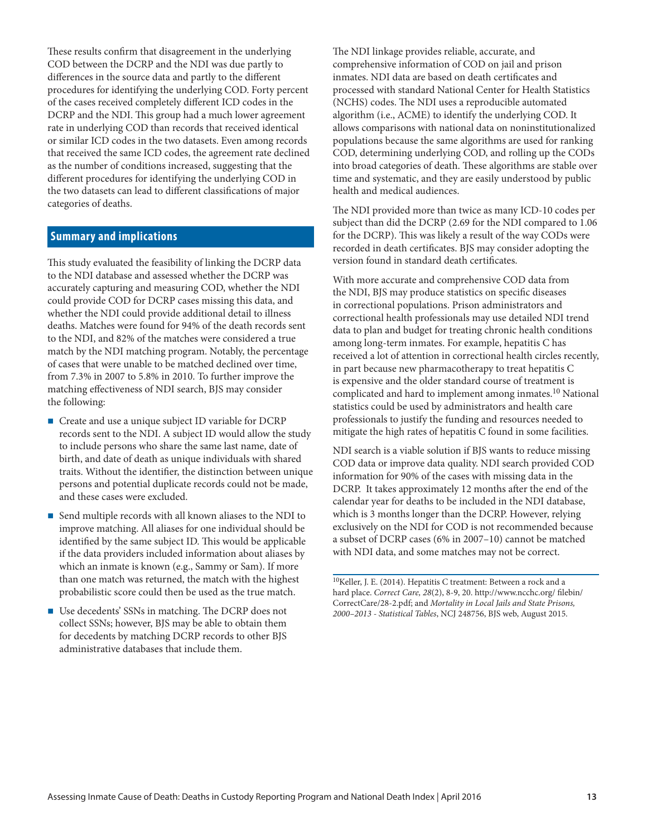These results confirm that disagreement in the underlying COD between the DCRP and the NDI was due partly to differences in the source data and partly to the different procedures for identifying the underlying COD. Forty percent of the cases received completely different ICD codes in the DCRP and the NDI. This group had a much lower agreement rate in underlying COD than records that received identical or similar ICD codes in the two datasets. Even among records that received the same ICD codes, the agreement rate declined as the number of conditions increased, suggesting that the different procedures for identifying the underlying COD in the two datasets can lead to different classifications of major categories of deaths.

# **Summary and implications**

This study evaluated the feasibility of linking the DCRP data to the NDI database and assessed whether the DCRP was accurately capturing and measuring COD, whether the NDI could provide COD for DCRP cases missing this data, and whether the NDI could provide additional detail to illness deaths. Matches were found for 94% of the death records sent to the NDI, and 82% of the matches were considered a true match by the NDI matching program. Notably, the percentage of cases that were unable to be matched declined over time, from 7.3% in 2007 to 5.8% in 2010. To further improve the matching effectiveness of NDI search, BJS may consider the following:

- Create and use a unique subject ID variable for DCRP records sent to the NDI. A subject ID would allow the study to include persons who share the same last name, date of birth, and date of death as unique individuals with shared traits. Without the identifier, the distinction between unique persons and potential duplicate records could not be made, and these cases were excluded.
- Send multiple records with all known aliases to the NDI to improve matching. All aliases for one individual should be identified by the same subject ID. This would be applicable if the data providers included information about aliases by which an inmate is known (e.g., Sammy or Sam). If more than one match was returned, the match with the highest probabilistic score could then be used as the true match.
- Use decedents' SSNs in matching. The DCRP does not collect SSNs; however, BJS may be able to obtain them for decedents by matching DCRP records to other BJS administrative databases that include them.

The NDI linkage provides reliable, accurate, and comprehensive information of COD on jail and prison inmates. NDI data are based on death certificates and processed with standard National Center for Health Statistics (NCHS) codes. The NDI uses a reproducible automated algorithm (i.e., ACME) to identify the underlying COD. It allows comparisons with national data on noninstitutionalized populations because the same algorithms are used for ranking COD, determining underlying COD, and rolling up the CODs into broad categories of death. These algorithms are stable over time and systematic, and they are easily understood by public health and medical audiences.

The NDI provided more than twice as many ICD-10 codes per subject than did the DCRP (2.69 for the NDI compared to 1.06 for the DCRP). This was likely a result of the way CODs were recorded in death certificates. BJS may consider adopting the version found in standard death certificates.

With more accurate and comprehensive COD data from the NDI, BJS may produce statistics on specific diseases in correctional populations. Prison administrators and correctional health professionals may use detailed NDI trend data to plan and budget for treating chronic health conditions among long-term inmates. For example, hepatitis C has received a lot of attention in correctional health circles recently, in part because new pharmacotherapy to treat hepatitis C is expensive and the older standard course of treatment is complicated and hard to implement among inmates.<sup>10</sup> National statistics could be used by administrators and health care professionals to justify the funding and resources needed to mitigate the high rates of hepatitis C found in some facilities.

NDI search is a viable solution if BJS wants to reduce missing COD data or improve data quality. NDI search provided COD information for 90% of the cases with missing data in the DCRP. It takes approximately 12 months after the end of the calendar year for deaths to be included in the NDI database, which is 3 months longer than the DCRP. However, relying exclusively on the NDI for COD is not recommended because a subset of DCRP cases (6% in 2007–10) cannot be matched with NDI data, and some matches may not be correct.

 $^{10}\rm{Keller},$  J. E. (2014). Hepatitis C treatment: Between a rock and a hard place. *Correct Care, 28*(2), 8-9, 20. http://www.ncchc.org/ filebin/ CorrectCare/28-2.pdf; and *Mortality in Local Jails and State Prisons, 2000–2013 - Statistical Tables*, NCJ 248756, BJS web, August 2015.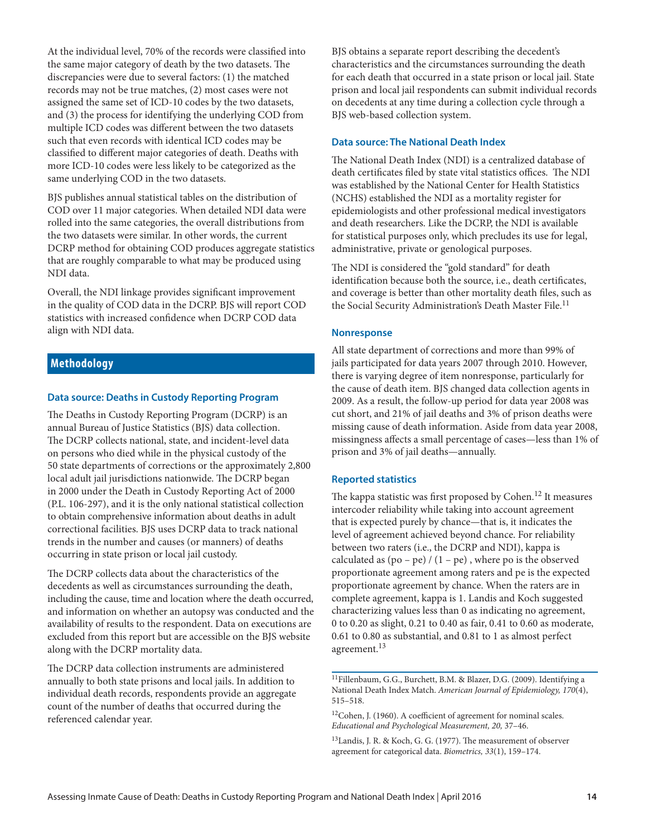At the individual level, 70% of the records were classified into the same major category of death by the two datasets. The discrepancies were due to several factors: (1) the matched records may not be true matches, (2) most cases were not assigned the same set of ICD-10 codes by the two datasets, and (3) the process for identifying the underlying COD from multiple ICD codes was different between the two datasets such that even records with identical ICD codes may be classified to different major categories of death. Deaths with more ICD-10 codes were less likely to be categorized as the same underlying COD in the two datasets.

BJS publishes annual statistical tables on the distribution of COD over 11 major categories. When detailed NDI data were rolled into the same categories, the overall distributions from the two datasets were similar. In other words, the current DCRP method for obtaining COD produces aggregate statistics that are roughly comparable to what may be produced using NDI data.

Overall, the NDI linkage provides significant improvement in the quality of COD data in the DCRP. BJS will report COD statistics with increased confidence when DCRP COD data align with NDI data.

# **Methodology**

# **Data source: Deaths in Custody Reporting Program**

The Deaths in Custody Reporting Program (DCRP) is an annual Bureau of Justice Statistics (BJS) data collection. The DCRP collects national, state, and incident-level data on persons who died while in the physical custody of the 50 state departments of corrections or the approximately 2,800 local adult jail jurisdictions nationwide. The DCRP began in 2000 under the Death in Custody Reporting Act of 2000 (P.L. 106-297), and it is the only national statistical collection to obtain comprehensive information about deaths in adult correctional facilities. BJS uses DCRP data to track national trends in the number and causes (or manners) of deaths occurring in state prison or local jail custody.

The DCRP collects data about the characteristics of the decedents as well as circumstances surrounding the death, including the cause, time and location where the death occurred, and information on whether an autopsy was conducted and the availability of results to the respondent. Data on executions are excluded from this report but are accessible on the BJS website along with the DCRP mortality data.

The DCRP data collection instruments are administered annually to both state prisons and local jails. In addition to individual death records, respondents provide an aggregate count of the number of deaths that occurred during the referenced calendar year.

BJS obtains a separate report describing the decedent's characteristics and the circumstances surrounding the death for each death that occurred in a state prison or local jail. State prison and local jail respondents can submit individual records on decedents at any time during a collection cycle through a BJS web-based collection system.

## **Data source: The National Death Index**

The National Death Index (NDI) is a centralized database of death certificates filed by state vital statistics offices. The NDI was established by the National Center for Health Statistics (NCHS) established the NDI as a mortality register for epidemiologists and other professional medical investigators and death researchers. Like the DCRP, the NDI is available for statistical purposes only, which precludes its use for legal, administrative, private or genological purposes.

The NDI is considered the "gold standard" for death identification because both the source, i.e., death certificates, and coverage is better than other mortality death files, such as the Social Security Administration's Death Master File.<sup>11</sup>

## **Nonresponse**

All state department of corrections and more than 99% of jails participated for data years 2007 through 2010. However, there is varying degree of item nonresponse, particularly for the cause of death item. BJS changed data collection agents in 2009. As a result, the follow-up period for data year 2008 was cut short, and 21% of jail deaths and 3% of prison deaths were missing cause of death information. Aside from data year 2008, missingness affects a small percentage of cases—less than 1% of prison and 3% of jail deaths—annually.

# **Reported statistics**

The kappa statistic was first proposed by Cohen.<sup>12</sup> It measures intercoder reliability while taking into account agreement that is expected purely by chance—that is, it indicates the level of agreement achieved beyond chance. For reliability between two raters (i.e., the DCRP and NDI), kappa is calculated as  $(po - pe) / (1 - pe)$ , where po is the observed proportionate agreement among raters and pe is the expected proportionate agreement by chance. When the raters are in complete agreement, kappa is 1. Landis and Koch suggested characterizing values less than 0 as indicating no agreement, 0 to 0.20 as slight, 0.21 to 0.40 as fair, 0.41 to 0.60 as moderate, 0.61 to 0.80 as substantial, and 0.81 to 1 as almost perfect agreement.<sup>13</sup>

<sup>13</sup>Landis, J. R. & Koch, G. G. (1977). The measurement of observer agreement for categorical data. *Biometrics, 33*(1), 159–174.

 $\overline{^{11}$ Fillenbaum, G.G., Burchett, B.M. & Blazer, D.G. (2009). Identifying a National Death Index Match. *American Journal of Epidemiology, 170*(4), 515–518.

<sup>12</sup>Cohen, J. (1960). A coefficient of agreement for nominal scales. *Educational and Psychological Measurement, 20,* 37–46.